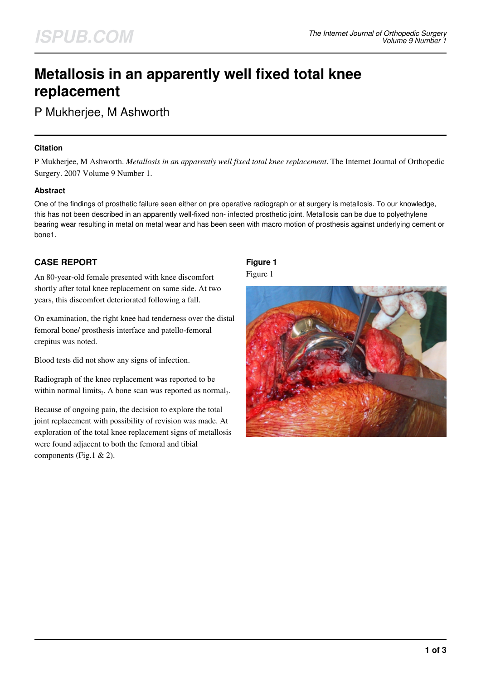# **Metallosis in an apparently well fixed total knee replacement**

P Mukherjee, M Ashworth

### **Citation**

P Mukherjee, M Ashworth. *Metallosis in an apparently well fixed total knee replacement*. The Internet Journal of Orthopedic Surgery. 2007 Volume 9 Number 1.

## **Abstract**

One of the findings of prosthetic failure seen either on pre operative radiograph or at surgery is metallosis. To our knowledge, this has not been described in an apparently well-fixed non- infected prosthetic joint. Metallosis can be due to polyethylene bearing wear resulting in metal on metal wear and has been seen with macro motion of prosthesis against underlying cement or bone1.

## **CASE REPORT**

An 80-year-old female presented with knee discomfort shortly after total knee replacement on same side. At two years, this discomfort deteriorated following a fall.

On examination, the right knee had tenderness over the distal femoral bone/ prosthesis interface and patello-femoral crepitus was noted.

Blood tests did not show any signs of infection.

Radiograph of the knee replacement was reported to be within normal limits<sub>2</sub>. A bone scan was reported as normal<sub>3</sub>.

Because of ongoing pain, the decision to explore the total joint replacement with possibility of revision was made. At exploration of the total knee replacement signs of metallosis were found adjacent to both the femoral and tibial components (Fig.1 & 2).

## **Figure 1**

Figure 1

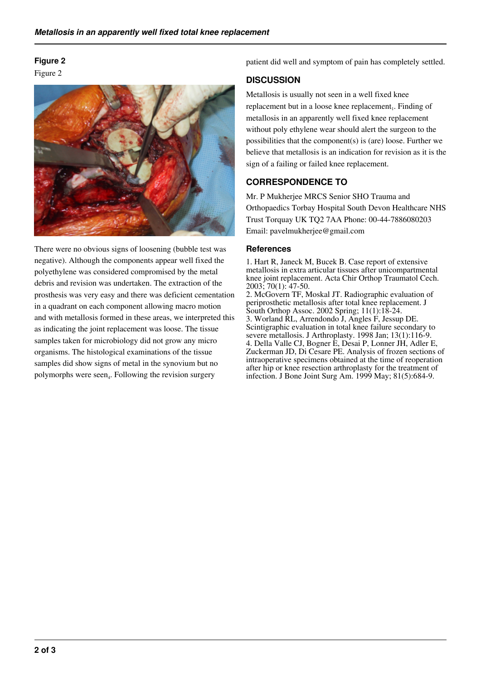## **Figure 2**

Figure 2



There were no obvious signs of loosening (bubble test was negative). Although the components appear well fixed the polyethylene was considered compromised by the metal debris and revision was undertaken. The extraction of the prosthesis was very easy and there was deficient cementation in a quadrant on each component allowing macro motion and with metallosis formed in these areas, we interpreted this as indicating the joint replacement was loose. The tissue samples taken for microbiology did not grow any micro organisms. The histological examinations of the tissue samples did show signs of metal in the synovium but no polymorphs were seen<sub>4</sub>. Following the revision surgery

patient did well and symptom of pain has completely settled.

## **DISCUSSION**

Metallosis is usually not seen in a well fixed knee replacement but in a loose knee replacement<sub>1</sub>. Finding of metallosis in an apparently well fixed knee replacement without poly ethylene wear should alert the surgeon to the possibilities that the component(s) is (are) loose. Further we believe that metallosis is an indication for revision as it is the sign of a failing or failed knee replacement.

## **CORRESPONDENCE TO**

Mr. P Mukherjee MRCS Senior SHO Trauma and Orthopaedics Torbay Hospital South Devon Healthcare NHS Trust Torquay UK TQ2 7AA Phone: 00-44-7886080203 Email: pavelmukherjee@gmail.com

#### **References**

1. Hart R, Janeck M, Bucek B. Case report of extensive metallosis in extra articular tissues after unicompartmental knee joint replacement. Acta Chir Orthop Traumatol Cech. 2003; 70(1): 47-50.

2. McGovern TF, Moskal JT. Radiographic evaluation of periprosthetic metallosis after total knee replacement. J South Orthop Assoc. 2002 Spring; 11(1):18-24. 3. Worland RL, Arrendondo J, Angles F, Jessup DE. Scintigraphic evaluation in total knee failure secondary to severe metallosis. J Arthroplasty. 1998 Jan; 13(1):116-9. 4. Della Valle CJ, Bogner E, Desai P, Lonner JH, Adler E, Zuckerman JD, Di Cesare PE. Analysis of frozen sections of intraoperative specimens obtained at the time of reoperation after hip or knee resection arthroplasty for the treatment of infection. J Bone Joint Surg Am. 1999 May; 81(5):684-9.